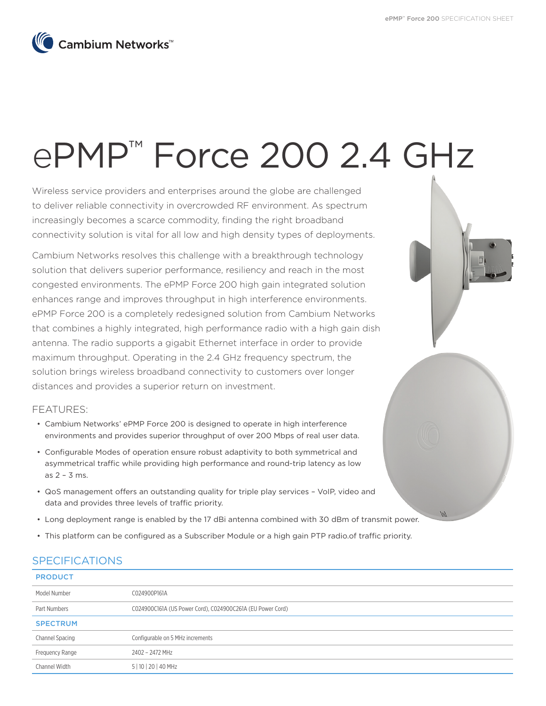$/$ 



# ePMP™ Force 200 2.4 GHz

Wireless service providers and enterprises around the globe are challenged to deliver reliable connectivity in overcrowded RF environment. As spectrum increasingly becomes a scarce commodity, finding the right broadband connectivity solution is vital for all low and high density types of deployments.

Cambium Networks resolves this challenge with a breakthrough technology solution that delivers superior performance, resiliency and reach in the most congested environments. The ePMP Force 200 high gain integrated solution enhances range and improves throughput in high interference environments. ePMP Force 200 is a completely redesigned solution from Cambium Networks that combines a highly integrated, high performance radio with a high gain dish antenna. The radio supports a gigabit Ethernet interface in order to provide maximum throughput. Operating in the 2.4 GHz frequency spectrum, the solution brings wireless broadband connectivity to customers over longer distances and provides a superior return on investment.

FEATURES:

- Cambium Networks' ePMP Force 200 is designed to operate in high interference environments and provides superior throughput of over 200 Mbps of real user data.
- Configurable Modes of operation ensure robust adaptivity to both symmetrical and asymmetrical traffic while providing high performance and round-trip latency as low as 2 – 3 ms.
- QoS management offers an outstanding quality for triple play services VoIP, video and data and provides three levels of traffic priority.
- Long deployment range is enabled by the 17 dBi antenna combined with 30 dBm of transmit power.
- This platform can be configured as a Subscriber Module or a high gain PTP radio.of traffic priority.

# SPECIFICATIONS

### **PRODUCT**

| Model Number    | C024900P161A                                               |
|-----------------|------------------------------------------------------------|
| Part Numbers    | CO24900C161A (US Power Cord), CO24900C261A (EU Power Cord) |
| <b>SPECTRUM</b> |                                                            |
| Channel Spacing | Configurable on 5 MHz increments                           |
| Frequency Range | 2402 - 2472 MHz                                            |
| Channel Width   | 5   10   20   40 MHz                                       |
|                 |                                                            |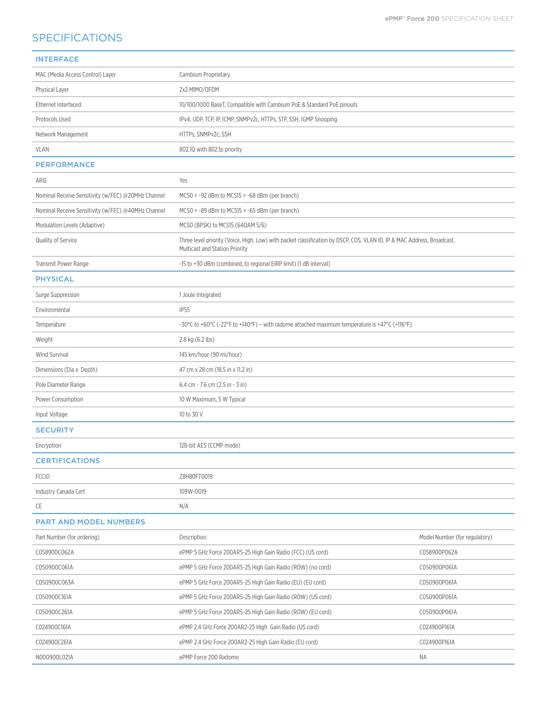# **SPECIFICATIONS**

| <b>INTERFACE</b>                                   |                                                                                                                                                          |                               |
|----------------------------------------------------|----------------------------------------------------------------------------------------------------------------------------------------------------------|-------------------------------|
| MAC (Media Access Control) Layer                   | Cambium Proprietary                                                                                                                                      |                               |
| Physical Layer                                     | 2x2 MIMO/OFDM                                                                                                                                            |                               |
| Ethernet Interfaced                                | 10/100/1000 BaseT, Compatible with Cambium PoE & Standard PoE pinouts                                                                                    |                               |
| Protocols Used                                     | IPv4, UDP, TCP, IP, ICMP, SNMPv2c, HTTPs, STP, SSH, IGMP Snooping                                                                                        |                               |
| Network Management                                 | HTTPs, SNMPv2c, SSH                                                                                                                                      |                               |
| <b>VLAN</b>                                        | 802.10 with 802.1p priority                                                                                                                              |                               |
| <b>PERFORMANCE</b>                                 |                                                                                                                                                          |                               |
| ARQ                                                | Yes                                                                                                                                                      |                               |
| Nominal Receive Sensitivity (w/FEC) @20MHz Channel | $MCSO = -92$ dBm to $MCS15 = -68$ dBm (per branch)                                                                                                       |                               |
| Nominal Receive Sensitivity (w/FEC) @40MHz Channel | $MCSO = -89$ dBm to $MCS15 = -65$ dBm (per branch)                                                                                                       |                               |
| Modulation Levels (Adaptive)                       | MCSO (BPSK) to MCS15 (64QAM 5/6)                                                                                                                         |                               |
| Quality of Service                                 | Three level priority (Voice, High, Low) with packet classification by DSCP, COS, VLAN ID, IP & MAC Address, Broadcast,<br>Multicast and Station Priority |                               |
| Transmit Power Range                               | -15 to +30 dBm (combined, to regional EIRP limit) (1 dB interval)                                                                                        |                               |
| <b>PHYSICAL</b>                                    |                                                                                                                                                          |                               |
| Surge Suppression                                  | 1 Joule Integrated                                                                                                                                       |                               |
| Environmental                                      | <b>IP55</b>                                                                                                                                              |                               |
| Temperature                                        | -30°C to +60°C (-22°F to +140°F) – with radome attached maximum temperature is +47°C (+116°F)                                                            |                               |
| Weight                                             | 2.8 kg (6.2 lbs)                                                                                                                                         |                               |
| <b>Wind Survival</b>                               | 145 km/hour (90 mi/hour)                                                                                                                                 |                               |
| Dimensions (Dia x Depth)                           | 47 cm x 28 cm (18.5 in x 11.2 in)                                                                                                                        |                               |
| Pole Diameter Range                                | 6.4 cm - 7.6 cm (2.5 in - 3 in)                                                                                                                          |                               |
| Power Consumption                                  | 10 W Maximum, 5 W Typical                                                                                                                                |                               |
| Input Voltage                                      | 10 to 30 V                                                                                                                                               |                               |
| <b>SECURITY</b>                                    |                                                                                                                                                          |                               |
| Encryption                                         | 128-bit AES (CCMP mode)                                                                                                                                  |                               |
| <b>CERTIFICATIONS</b>                              |                                                                                                                                                          |                               |
| <b>FCCID</b>                                       | Z8H80FT0019                                                                                                                                              |                               |
| Industry Canada Cert                               | 109W-0019                                                                                                                                                |                               |
| CE                                                 | N/A                                                                                                                                                      |                               |
| <b>PART AND MODEL NUMBERS</b>                      |                                                                                                                                                          |                               |
| Part Number (for ordering)                         | Description                                                                                                                                              | Model Number (for regulatory) |
| C058900C062A                                       | ePMP 5 GHz Force 200AR5-25 High Gain Radio (FCC) (US cord)                                                                                               | C058900P062A                  |
| C050900C061A                                       | ePMP 5 GHz Force 200AR5-25 High Gain Radio (ROW) (no cord)                                                                                               | C050900P061A                  |
| C050900C063A                                       | ePMP 5 GHz Force 200AR5-25 High Gain Radio (EU) (EU cord)                                                                                                | C050900P061A                  |
| C050900C161A                                       | ePMP 5 GHz Force 200AR5-25 High Gain Radio (ROW) (US cord)                                                                                               | C050900P061A                  |
| C050900C261A                                       | ePMP 5 GHz Force 200AR5-25 High Gain Radio (ROW) (EU cord)                                                                                               | C050900P061A                  |
| C024900C161A                                       | ePMP 2.4 GHz Force 200AR2-25 High Gain Radio (US cord)                                                                                                   | C024900P161A                  |
| C024900C261A                                       | ePMP 2.4 GHz Force 200AR2-25 High Gain Radio (EU cord)                                                                                                   | C024900P161A                  |
| N000900L021A                                       | ePMP Force 200 Radome                                                                                                                                    | NA                            |